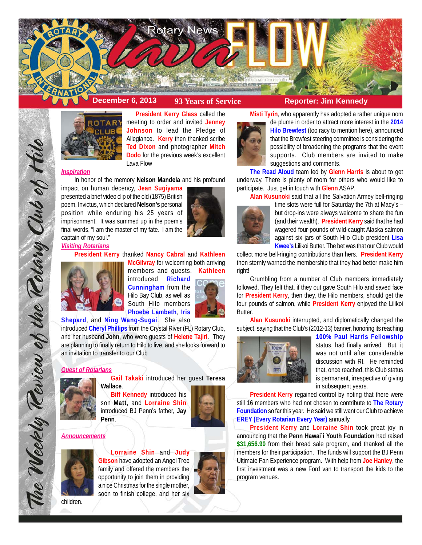



**President Kerry Glass** called the meeting to order and invited **Jenney Johnson** to lead the Pledge of Allegiance. **Kerry** then thanked scribe **Ted Dixon** and photographer **Mitch Dodo** for the previous week's excellent Lava Flow

## *Inspiration*

In honor of the memory **Nelson Mandela** and his profound

impact on human decency, **Jean Sugiyama** presented a brief video clip of the old (1875) British poem, Invictus, which declared **Nelson's** personal position while enduring his 25 years of imprisonment. It was summed up in the poem's final words, "I am the master of my fate. I am the captain of my soul."



**President Kerry** thanked **Nancy Cabral** and **Kathleen McGilvray** for welcoming both arriving members and guests. **Kathleen**

introduced **Richard Cunningham** from the Hilo Bay Club, as well as South Hilo members **Phoebe Lambeth**, **Iris**

**Shepard**, and **Ning Wang-Sugai**. She also

introduced **Cheryl Phillips** from the Crystal River (FL) Rotary Club, and her husband **John**, who were guests of **Helene Tajiri**. They are planning to finally return to Hilo to live, and she looks forward to an invitation to transfer to our Club

#### *Guest of Rotarians*

The Weekly Teview of the Tetary Club of Hilo

**Gail Takaki** introduced her guest **Teresa Wallace**.

**Biff Kennedy** introduced his son **Matt**, and **Lorraine Shin** introduced BJ Penn's father, **Jay Penn**.



#### *Announcements*



**Lorraine Shin** and **Judy Gibson** have adopted an Angel Tree family and offered the members the opportunity to join them in providing a nice Christmas for the single mother, soon to finish college, and her six



**Misti Tyrin**, who apparently has adopted a rather unique nom



de plume in order to attract more interest in the **2014 Hilo Brewfest** (too racy to mention here), announced that the Brewfest steering committee is considering the possibility of broadening the programs that the event supports. Club members are invited to make suggestions and comments.

**The Read Aloud** team led by **Glenn Harris** is about to get underway. There is plenty of room for others who would like to participate. Just get in touch with **Glenn** ASAP.

**Alan Kusunoki** said that all the Salvation Armey bell-ringing



time slots were full for Saturday the 7th at Macy's – but drop-ins were always welcome to share the fun (and their wealth). **President Kerry** said that he had wagered four-pounds of wild-caught Alaska salmon against six jars of South Hilo Club president **Lisa Kwee's** Lilikoi Butter. The bet was that our Club would

collect more bell-ringing contributions than hers. **President Kerry** then sternly warned the membership that they had better make him right!

Grumbling from a number of Club members immediately followed. They felt that, if they out gave South Hilo and saved face for **President Kerry**, then they, the Hilo members, should get the four pounds of salmon, while **President Kerry** enjoyed the Lilikoi Butter.

**Alan Kusunoki** interrupted, and diplomatically changed the subject, saying that the Club's (2012-13) banner, honoring its reaching



**100% Paul Harris Fellowship** status, had finally arrived. But, it was not until after considerable discussion with RI. He reminded that, once reached, this Club status is permanent, irrespective of giving in subsequent years.

**President Kerry** regained control by noting that there were still 16 members who had not chosen to contribute to **The Rotary Foundation** so far this year. He said we still want our Club to achieve **EREY (Every Rotarian Every Year)** annually.

**President Kerry** and **Lorraine Shin** took great joy in announcing that the **Penn Hawai`i Youth Foundation** had raised **\$31,656.90** from their bread sale program, and thanked all the members for their participation. The funds will support the BJ Penn Ultimate Fan Experience program. With help from **Joe Hanley**, the first investment was a new Ford van to transport the kids to the program venues.

children.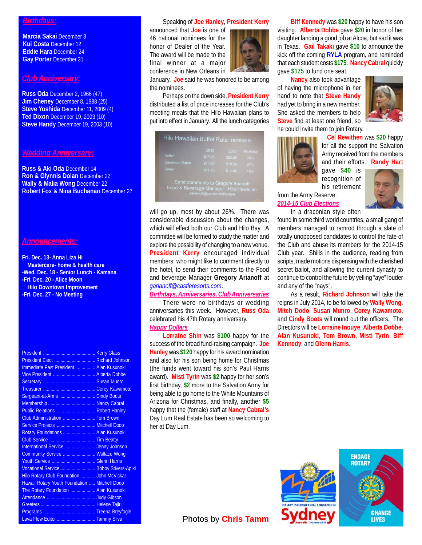#### *Birthdays:*

**Marcia Sakai** December 8 **Kui Costa** December 12 **Eddie Hara** December 24 **Gay Porter** December 31

#### *Club Anniversary:*

**Russ Oda** December 2, 1966 (47) **Jim Cheney** December 8, 1988 (25) **Steve Yoshida** December 11, 2009 (4) **Ted Dixon** December 19, 2003 (10) **Steve Handy** December 19, 2003 (10)

## *Wedding Anniversary:*

**Russ & Aki Oda** December 14 **Ron & Glynnis Dolan** December 22 **Wally & Malia Wong** December 22 **Robert Fox & Nina Buchanan** December 27

#### *Announcements:*

**Fri. Dec. 13- Anna Liza Hi Mastercare- home & health care -Wed. Dec. 18 - Senior Lunch - Kamana -Fri. Dec. 20 - Alice Moon Hilo Downtown Improvement -Fri. Dec. 27 - No Meeting**

| President Elect  Richard Johnson              |  |
|-----------------------------------------------|--|
| Immediate Past President  Alan Kusunoki       |  |
| Vice President  Alberta Dobbe                 |  |
|                                               |  |
|                                               |  |
| Sergeant-at-Arms  Cindy Boots                 |  |
|                                               |  |
| Public Relations  Robert Hanley               |  |
| Club Administration  Tom Brown                |  |
| Service Projects  Mitchell Dodo               |  |
| Rotary Foundations  Alan Kusunoki             |  |
|                                               |  |
| International Service  Jenny Johnson          |  |
| Community Service  Wallace Wong               |  |
| Youth Service  Glenn Harris                   |  |
| Vocational Service  Bobby Stivers-Apiki       |  |
| Hilo Rotary Club Foundation  John McVickar    |  |
| Hawaii Rotary Youth Foundation  Mitchell Dodo |  |
| The Rotary Foundation  Alan Kusunoki          |  |
|                                               |  |
|                                               |  |
|                                               |  |
| Lava Flow Editor  Tammy Silva                 |  |

#### Speaking of **Joe Hanley**, **President Kerry**

announced that **Joe** is one of 46 national nominees for the honor of Dealer of the Year. The award will be made to the final winner at a major conference in New Orleans in



January. **Joe** said he was honored to be among the nominees.

Perhaps on the down side, **President Kerry** distributed a list of price increases for the Club's meeting meals that the Hilo Hawaiian plans to put into effect in January. All the lunch categories

|                | 2013    | 2014    | Increase |
|----------------|---------|---------|----------|
| <b>Buffet</b>  | \$18.25 | \$23.00 | -26%     |
| Sandwich/Salad | \$14.50 | \$18.50 | 27%      |
| Salad          | \$11.75 | \$14.00 | 19%      |

will go up, most by about 26%. There was considerable discussion about the changes, which will effect both our Club and Hilo Bay. A committee will be formed to study the matter and explore the possibility of changing to a new venue. **President Kerry** encouraged individual members, who might like to comment directly to the hotel, to send their comments to the Food and beverage Manager **Gregory Arianoff** at *garianoff@castleresorts.com*.

#### *Birthdays, Anniversaries, Club Anniversaries*

There were no birthdays or wedding anniversaries this week. However, **Russ Oda** celebrated his 47th Rotary anniversary. *Happy Dollars*

**Lorraine Shin** was **\$100** happy for the success of the bread fund-raising campaign. **Joe Hanley** was **\$120** happy for his award nomination and also for his son being home for Christmas (the funds went toward his son's Paul Harris award). **Misti Tyrin** was **\$2** happy for her son's first birthday, **\$2** more to the Salvation Army for being able to go home to the White Mountains of Arizona for Christmas, and finally, another **\$5** happy that the (female) staff at **Nancy Cabral's** Day Lum Real Estate has been so welcoming to her at Day Lum.

**Biff Kennedy** was **\$20** happy to have his son visiting. **Alberta Dobbe** gave **\$20** in honor of her daughter landing a good job at Alcoa, but sad it was in Texas. **Gail Takaki** gave **\$10** to announce the kick off the coming **RYLA** program, and reminded that each student costs **\$175**. **Nancy Cabral** quickly gave **\$175** to fund one seat.

**Nancy** also took advantage of having the microphone in her hand to note that **Steve Handy** had yet to bring in a new member. She asked the members to help **Steve** find at least one friend, so he could invite them to join Rotary.



**Cel Rewithen** was **\$20** happy for all the support the Salvation Army received from the members and their efforts. **Randy Hart**

gave **\$40** is recognition of his retirement

from the Army Reserve. *2014-15 Club Elections*



In a draconian style often found in some third world countries, a small gang of members managed to ramrod through a slate of totally unopposed candidates to control the fate of the Club and abuse its members for the 2014-15 Club year. Shills in the audience, reading from scripts, made motions dispensing with the cherished secret ballot, and allowing the current dynasty to continue to control the future by yelling "aye" louder and any of the "nays".

As a result, **Richard Johnson** will take the reigns in July 2014, to be followed by **Wally Wong**. **Mitch Dodo**, **Susan Munro**, **Corey Kawamoto**, and **Cindy Boots** will round out the officers. The Directors will be **Lorraine Inouye**, **Alberta Dobbe**, **Alan Kusunoki**, **Tom Brown**, **Misti Tyrin**, **Biff Kennedy**, and **Glenn Harris**.



Photos by **Chris Tamm**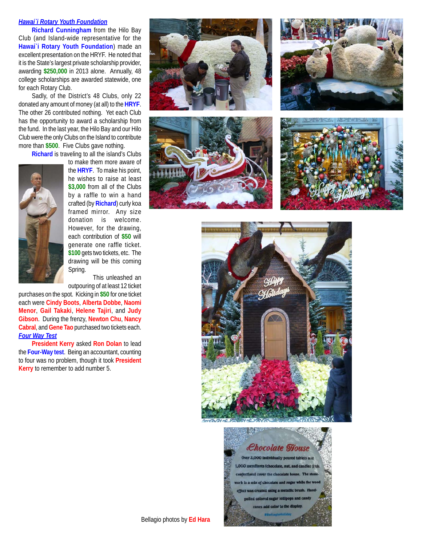#### *Hawai`i Rotary Youth Foundation*

**Richard Cunningham** from the Hilo Bay Club (and Island-wide representative for the **Hawai`i Rotary Youth Foundation**) made an excellent presentation on the HRYF. He noted that it is the State's largest private scholarship provider, awarding **\$250,000** in 2013 alone. Annually, 48 college scholarships are awarded statewide, one for each Rotary Club.

Sadly, of the District's 48 Clubs, only 22 donated any amount of money (at all) to the **HRYF**. The other 26 contributed nothing. Yet each Club has the opportunity to award a scholarship from the fund. In the last year, the Hilo Bay and our Hilo Club were the only Clubs on the Island to contribute more than **\$500**. Five Clubs gave nothing.

**Richard** is traveling to all the island's Clubs



to make them more aware of the **HRYF**. To make his point, he wishes to raise at least **\$3,000** from all of the Clubs by a raffle to win a hand crafted (by **Richard**) curly koa framed mirror. Any size donation is welcome. However, for the drawing, each contribution of **\$50** will generate one raffle ticket. **\$100** gets two tickets, etc. The drawing will be this coming Spring.

This unleashed an outpouring of at least 12 ticket

purchases on the spot. Kicking in **\$50** for one ticket each were **Cindy Boots**, **Alberta Dobbe**, **Naomi Menor**, **Gail Takaki**, **Helene Tajiri**, and **Judy Gibson**. During the frenzy, **Newton Chu**, **Nancy Cabral**, and **Gene Tao** purchased two tickets each. *Four Way Test*

**President Kerry** asked **Ron Dolan** to lead the **Four-Way test**. Being an accountant, counting to four was no problem, though it took **President Kerry** to remember to add number 5.













Bellagio photos by **Ed Hara**